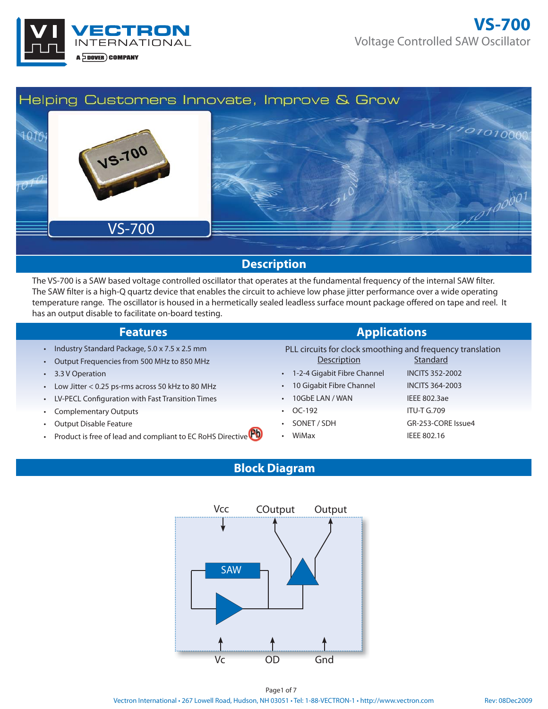INTERNATIONAL A **DOVER** COMPANY

ECTRON

# Helping Customers Innovate, Improve & Grow 270101000  $107$ VS-700 VS-700 **Description**

The VS-700 is a SAW based voltage controlled oscillator that operates at the fundamental frequency of the internal SAW filter. The SAW filter is a high-Q quartz device that enables the circuit to achieve low phase jitter performance over a wide operating temperature range. The oscillator is housed in a hermetically sealed leadless surface mount package offered on tape and reel. It has an output disable to facilitate on-board testing.

#### **Features Applications**

- Industry Standard Package, 5.0 x 7.5 x 2.5 mm
- Output Frequencies from 500 MHz to 850 MHz
- 3.3 V Operation
- Low Jitter < 0.25 ps-rms across 50 kHz to 80 MHz
- LV-PECL Configuration with Fast Transition Times
- Complementary Outputs
- Output Disable Feature
- Product is free of lead and compliant to EC RoHS Directive

PLL circuits for clock smoothing and frequency translation Description Standard

- 1-2-4 Gigabit Fibre Channel
- 10 Gigabit Fibre Channel
- 10GbE LAN / WAN
- OC-192
- SONET / SDH
- WiMax

INCITS 352-2002 INCITS 364-2003 IEEE 802.3ae ITU-T G.709 GR-253-CORE Issue4 IEEE 802.16

**Block Diagram**

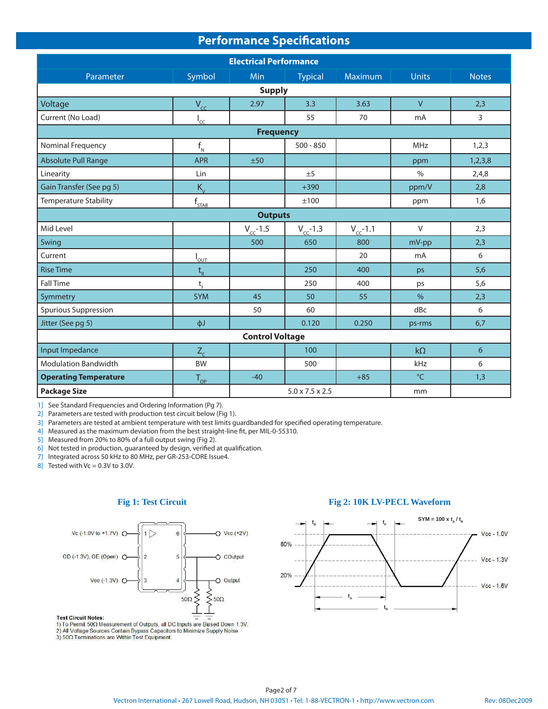| <b>Performance Specifications</b> |                                            |                  |                             |               |               |         |  |
|-----------------------------------|--------------------------------------------|------------------|-----------------------------|---------------|---------------|---------|--|
| <b>Electrical Performance</b>     |                                            |                  |                             |               |               |         |  |
| Parameter                         | Symbol<br>Min<br>Maximum<br><b>Typical</b> |                  |                             |               |               |         |  |
|                                   |                                            | <b>Supply</b>    |                             |               |               |         |  |
| Voltage                           | $V_{cc}$                                   | 2.97             | 3.3                         | 3.63          | $\vee$        | 2,3     |  |
| Current (No Load)                 | $I_{cc}$                                   |                  | 55                          | 70            | mA            | 3       |  |
|                                   |                                            | <b>Frequency</b> |                             |               |               |         |  |
| Nominal Frequency                 | $\mathsf{f}_{_{\sf N}}$                    |                  | $500 - 850$                 |               | MHz           | 1,2,3   |  |
| <b>Absolute Pull Range</b>        | <b>APR</b>                                 | ±50              |                             |               | ppm           | 1,2,3,8 |  |
| Linearity                         | Lin                                        |                  | ±5                          |               | $\%$          | 2,4,8   |  |
| Gain Transfer (See pg 5)          | $K_{\rm v}$                                |                  | $+390$                      |               | ppm/V         | 2,8     |  |
| Temperature Stability             | $f_{\frac{\text{STAB}}{\text{}}$           |                  | ±100                        |               | ppm           | 1,6     |  |
|                                   |                                            | <b>Outputs</b>   |                             |               |               |         |  |
| Mid Level                         |                                            | $V_{cc}$ -1.5    | $V_{cc}$ -1.3               | $V_{cc}$ -1.1 | $\vee$        | 2,3     |  |
| Swing                             |                                            | 500              | 650                         | 800           | mV-pp         | 2,3     |  |
| Current                           | $I_{\text{out}}$                           |                  |                             | 20            | mA            | 6       |  |
| <b>Rise Time</b>                  | $t_{R}$                                    |                  | 250                         | 400           | ps            | 5,6     |  |
| <b>Fall Time</b>                  | $t_{\rm F}$                                |                  | 250                         | 400           | ps            | 5,6     |  |
| Symmetry                          | <b>SYM</b>                                 | 45               | 50                          | 55            | $\frac{0}{0}$ | 2,3     |  |
| <b>Spurious Suppression</b>       |                                            | 50               | 60                          |               | dBc           | 6       |  |
| Jitter (See pg 5)                 | фJ                                         |                  | 0.120                       | 0.250         | ps-rms        | 6,7     |  |
| <b>Control Voltage</b>            |                                            |                  |                             |               |               |         |  |
| Input Impedance                   | $Z_c$                                      |                  | 100                         |               | $k\Omega$     | 6       |  |
| <b>Modulation Bandwidth</b>       | <b>BW</b>                                  |                  | 500                         |               | kHz           | 6       |  |
| <b>Operating Temperature</b>      | $T_{\text{OP}}$                            | $-40$            |                             | $+85$         | $^{\circ}$ C  | 1,3     |  |
| <b>Package Size</b>               |                                            |                  | $5.0 \times 7.5 \times 2.5$ |               | mm            |         |  |

1] See Standard Frequencies and Ordering Information (Pg 7).

2] Parameters are tested with production test circuit below (Fig 1).

3] Parameters are tested at ambient temperature with test limits guardbanded for specified operating temperature.

4] Measured as the maximum deviation from the best straight-line fit, per MIL-0-55310.

5] Measured from 20% to 80% of a full output swing (Fig 2).

6] Not tested in production, guaranteed by design, verified at qualification.

7] Integrated across 50 kHz to 80 MHz, per GR-253-CORE Issue4.

8] Tested with  $Vc = 0.3V$  to 3.0V.



#### **Test Circuit Notes:**

1) To Permit 50Ω Measurement of Outputs, all DC Inputs are Biased Down 1.3V. 2) All Voltage Sources Contain Bypass Capacitors to Minimize Supply Noise. 3) 500 Terminations are Within Test Equipment.

#### Fig 1: Test Circuit Fig 2: 10K LV-PECL Waveform

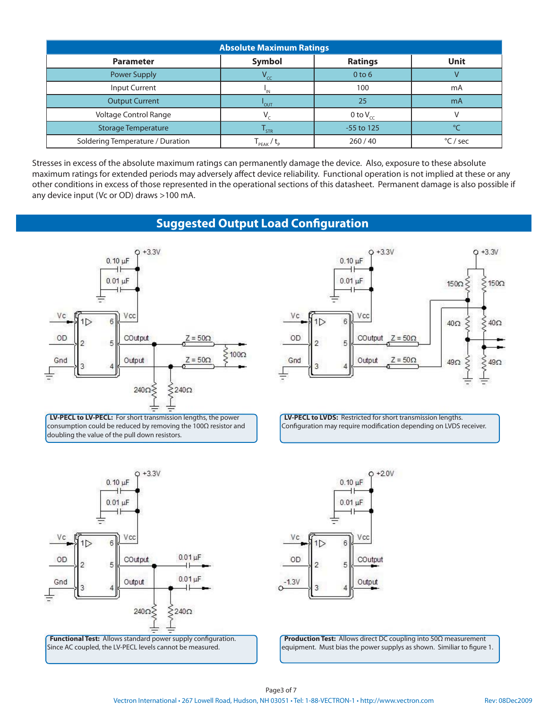| <b>Absolute Maximum Ratings</b>  |                                                    |                   |          |  |  |  |
|----------------------------------|----------------------------------------------------|-------------------|----------|--|--|--|
| <b>Parameter</b>                 | Symbol                                             | <b>Ratings</b>    | Unit     |  |  |  |
| <b>Power Supply</b>              | $V_{cc}$                                           | 0 <sub>to</sub> 6 |          |  |  |  |
| Input Current                    | 'IN                                                | 100               | mA       |  |  |  |
| <b>Output Current</b>            | <b>'</b> OUT                                       | 25                | mA       |  |  |  |
| Voltage Control Range            |                                                    | 0 to $V_{cc}$     |          |  |  |  |
| <b>Storage Temperature</b>       | <b>STR</b>                                         | -55 to 125        | $\circ$  |  |  |  |
| Soldering Temperature / Duration | $\mathbf{L}_{\text{PEAK}}$ $\mathbf{L}_{\text{p}}$ | 260/40            | °C / sec |  |  |  |

Stresses in excess of the absolute maximum ratings can permanently damage the device. Also, exposure to these absolute maximum ratings for extended periods may adversely affect device reliability. Functional operation is not implied at these or any other conditions in excess of those represented in the operational sections of this datasheet. Permanent damage is also possible if any device input (Vc or OD) draws >100 mA.

#### **Suggested Output Load Configuration**



**LV-PECL to LV-PECL:** For short transmission lengths, the power consumption could be reduced by removing the 100Ω resistor and doubling the value of the pull down resistors.



**LV-PECL to LVDS:** Restricted for short transmission lengths. Configuration may require modification depending on LVDS receiver.



**Functional Test:** Allows standard power supply configuration. Since AC coupled, the LV-PECL levels cannot be measured.



**Production Test:** Allows direct DC coupling into 50Ω measurement equipment. Must bias the power supplys as shown. Similiar to figure 1.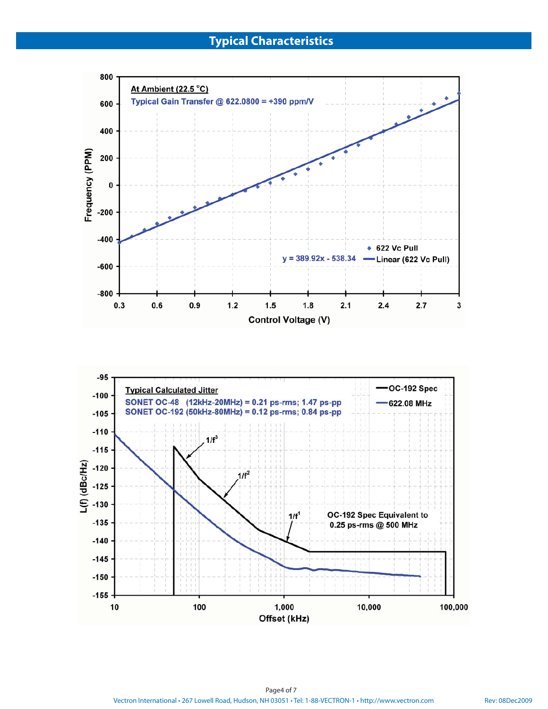

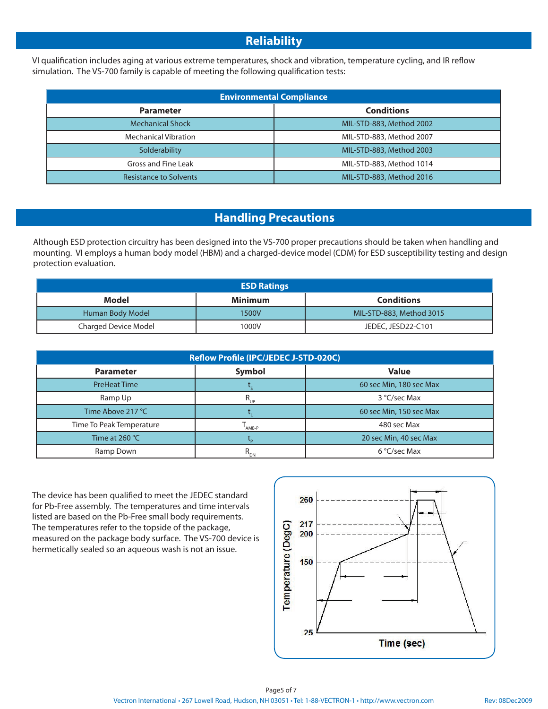#### **Reliability**

VI qualification includes aging at various extreme temperatures, shock and vibration, temperature cycling, and IR reflow simulation. The VS-700 family is capable of meeting the following qualification tests:

| <b>Environmental Compliance</b> |                          |  |  |  |  |
|---------------------------------|--------------------------|--|--|--|--|
| <b>Parameter</b>                | <b>Conditions</b>        |  |  |  |  |
| <b>Mechanical Shock</b>         | MIL-STD-883, Method 2002 |  |  |  |  |
| <b>Mechanical Vibration</b>     | MIL-STD-883, Method 2007 |  |  |  |  |
| Solderability                   | MIL-STD-883, Method 2003 |  |  |  |  |
| Gross and Fine Leak             | MIL-STD-883, Method 1014 |  |  |  |  |
| <b>Resistance to Solvents</b>   | MIL-STD-883, Method 2016 |  |  |  |  |

#### **Handling Precautions**

Although ESD protection circuitry has been designed into the VS-700 proper precautions should be taken when handling and mounting. VI employs a human body model (HBM) and a charged-device model (CDM) for ESD susceptibility testing and design protection evaluation.

| <b>ESD Ratings</b>   |         |                          |  |  |  |  |
|----------------------|---------|--------------------------|--|--|--|--|
| Model                | Minimum | <b>Conditions</b>        |  |  |  |  |
| Human Body Model     | 1500V   | MIL-STD-883, Method 3015 |  |  |  |  |
| Charged Device Model | 1000V   | JEDEC, JESD22-C101       |  |  |  |  |

| Reflow Profile (IPC/JEDEC J-STD-020C)      |                 |                         |  |  |  |  |
|--------------------------------------------|-----------------|-------------------------|--|--|--|--|
| Symbol<br><b>Value</b><br><b>Parameter</b> |                 |                         |  |  |  |  |
| <b>PreHeat Time</b>                        |                 | 60 sec Min, 180 sec Max |  |  |  |  |
| Ramp Up                                    | $R_{_{UP}}$     | 3 °C/sec Max            |  |  |  |  |
| Time Above 217 °C                          |                 | 60 sec Min, 150 sec Max |  |  |  |  |
| Time To Peak Temperature                   | AMB-P           | 480 sec Max             |  |  |  |  |
| Time at 260 $^{\circ}$ C                   |                 | 20 sec Min, 40 sec Max  |  |  |  |  |
| Ramp Down                                  | $R_{\text{DN}}$ | 6 °C/sec Max            |  |  |  |  |

The device has been qualified to meet the JEDEC standard for Pb-Free assembly. The temperatures and time intervals listed are based on the Pb-Free small body requirements. The temperatures refer to the topside of the package, measured on the package body surface. The VS-700 device is hermetically sealed so an aqueous wash is not an issue.

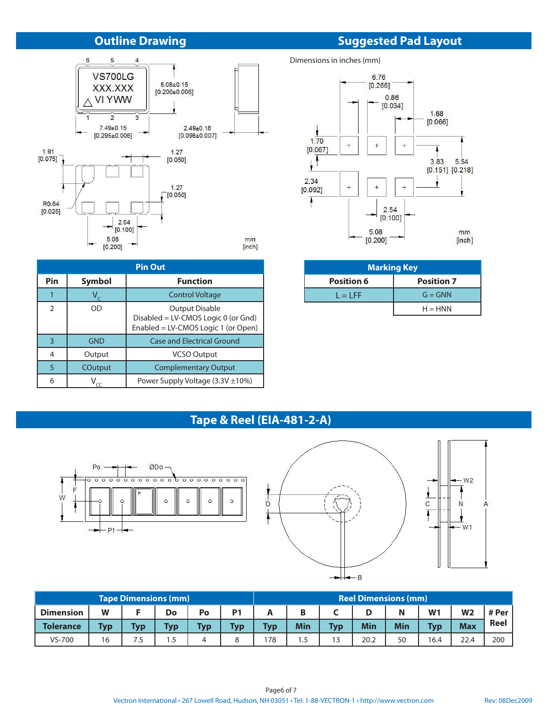# **Outline Drawing**

#### 6  $\frac{5}{ }$  $\overline{4}$ **VS700LG**  $5.08 \pm 0.15$ **XXX.XXX**  $[0.200 \pm 0.006]$ **VI YWW**  $\hat{2}$  $\overline{3}$  $7.49 \pm 0.15$  $2.49 \pm 0.18$  $[0.295 \pm 0.006]$  $[0.098 \pm 0.007]$  $1.91$  $1.27$  $[0.075]$  $[0.050]$  $1.27$  $[0.050]$ R<sub>0.64</sub>  $[0.025]$ 2.54  $\blacksquare$  [0.100] 5.08  $mm$  $[0.200]$ [inch]

| <b>Pin Out</b> |               |                                                                                                     |  |  |  |
|----------------|---------------|-----------------------------------------------------------------------------------------------------|--|--|--|
| <b>Pin</b>     | <b>Symbol</b> | <b>Function</b>                                                                                     |  |  |  |
|                |               | <b>Control Voltage</b>                                                                              |  |  |  |
| $\mathcal{P}$  | OD            | <b>Output Disable</b><br>Disabled = LV-CMOS Logic 0 (or Gnd)<br>Enabled = LV-CMOS Logic 1 (or Open) |  |  |  |
| 3              | <b>GND</b>    | <b>Case and Electrical Ground</b>                                                                   |  |  |  |
| 4              | Output        | <b>VCSO Output</b>                                                                                  |  |  |  |
| 5              | COutput       | <b>Complementary Output</b>                                                                         |  |  |  |
| 6              |               | Power Supply Voltage $(3.3V \pm 10\%)$                                                              |  |  |  |

# **Suggested Pad Layout**

Dimensions in inches (mm)



| <b>Marking Key</b> |                   |  |  |  |  |
|--------------------|-------------------|--|--|--|--|
| <b>Position 6</b>  | <b>Position 7</b> |  |  |  |  |
| $I = IFF$          | $G = GNN$         |  |  |  |  |
|                    | $H = HNN$         |  |  |  |  |

## **Tape & Reel (EIA-481-2-A)**





|                  |            | <b>Tape Dimensions (mm)</b> |            |            |                |            |            |            | <b>Reel Dimensions (mm)</b> |            |                |                |       |
|------------------|------------|-----------------------------|------------|------------|----------------|------------|------------|------------|-----------------------------|------------|----------------|----------------|-------|
| <b>Dimension</b> | W          |                             | Do         | Po         | P <sub>1</sub> |            |            |            |                             | N          | W <sub>1</sub> | W <sub>2</sub> | # Per |
| <b>Tolerance</b> | <b>Typ</b> | <b>Typ</b>                  | <b>Typ</b> | <b>Typ</b> | <b>Typ</b>     | <b>Typ</b> | <b>Min</b> | <b>Tvp</b> | <b>Min</b>                  | <b>Min</b> | <b>Typ</b>     | <b>Max</b>     | Reel  |
| VS-700           | 16         | 7.5                         | 1.5        | 4          |                | 178        | 1.5        | 13         | 20.2                        | 50         | 16.4           | 22.4           | 200   |